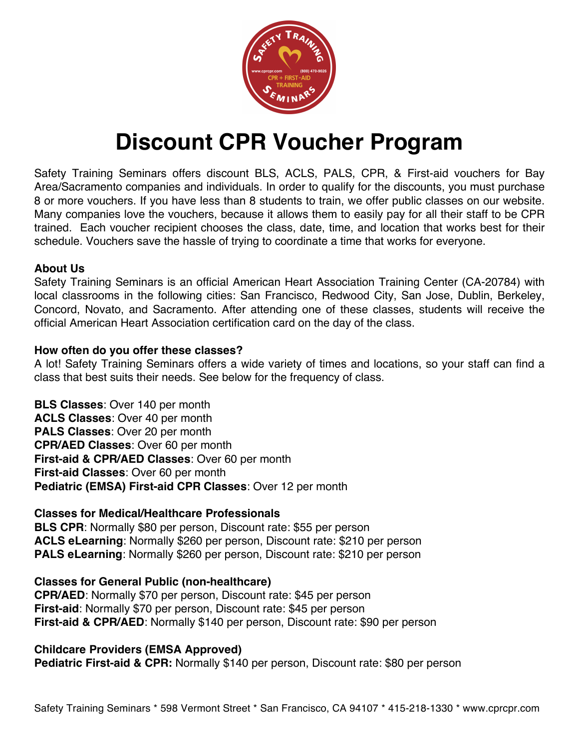

# **Discount CPR Voucher Program**

Safety Training Seminars offers discount BLS, ACLS, PALS, CPR, & First-aid vouchers for Bay Area/Sacramento companies and individuals. In order to qualify for the discounts, you must purchase 8 or more vouchers. If you have less than 8 students to train, we offer public classes on our website. Many companies love the vouchers, because it allows them to easily pay for all their staff to be CPR trained. Each voucher recipient chooses the class, date, time, and location that works best for their schedule. Vouchers save the hassle of trying to coordinate a time that works for everyone.

# **About Us**

Safety Training Seminars is an official American Heart Association Training Center (CA-20784) with local classrooms in the following cities: San Francisco, Redwood City, San Jose, Dublin, Berkeley, Concord, Novato, and Sacramento. After attending one of these classes, students will receive the official American Heart Association certification card on the day of the class.

# **How often do you offer these classes?**

A lot! Safety Training Seminars offers a wide variety of times and locations, so your staff can find a class that best suits their needs. See below for the frequency of class.

**BLS Classes**: Over 140 per month **ACLS Classes**: Over 40 per month **PALS Classes**: Over 20 per month **CPR/AED Classes**: Over 60 per month **First-aid & CPR/AED Classes**: Over 60 per month **First-aid Classes**: Over 60 per month **Pediatric (EMSA) First-aid CPR Classes**: Over 12 per month

# **Classes for Medical/Healthcare Professionals**

**BLS CPR**: Normally \$80 per person, Discount rate: \$55 per person **ACLS eLearning**: Normally \$260 per person, Discount rate: \$210 per person **PALS eLearning**: Normally \$260 per person, Discount rate: \$210 per person

# **Classes for General Public (non-healthcare)**

**CPR/AED**: Normally \$70 per person, Discount rate: \$45 per person **First-aid**: Normally \$70 per person, Discount rate: \$45 per person **First-aid & CPR/AED**: Normally \$140 per person, Discount rate: \$90 per person

# **Childcare Providers (EMSA Approved)**

**Pediatric First-aid & CPR:** Normally \$140 per person, Discount rate: \$80 per person